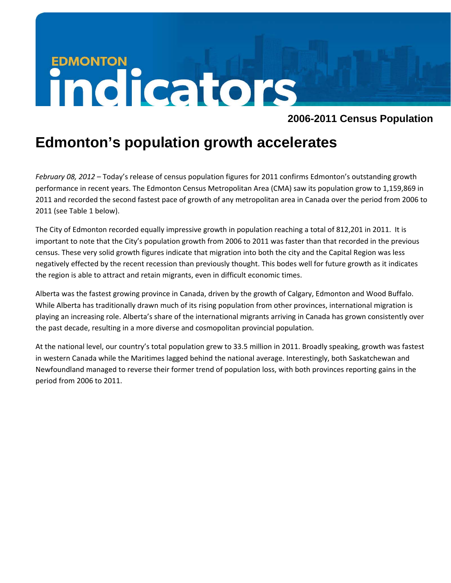# **EDMONTON**<br> **INCICATORS**

# **2006-2011 Census Population**

# **Edmonton's population growth accelerates**

*February 08, 2012* – Today's release of census population figures for 2011 confirms Edmonton's outstanding growth performance in recent years. The Edmonton Census Metropolitan Area (CMA) saw its population grow to 1,159,869 in 2011 and recorded the second fastest pace of growth of any metropolitan area in Canada over the period from 2006 to 2011 (see Table 1 below).

The City of Edmonton recorded equally impressive growth in population reaching a total of 812,201 in 2011. It is important to note that the City's population growth from 2006 to 2011 was faster than that recorded in the previous census. These very solid growth figures indicate that migration into both the city and the Capital Region was less negatively effected by the recent recession than previously thought. This bodes well for future growth as it indicates the region is able to attract and retain migrants, even in difficult economic times.

Alberta was the fastest growing province in Canada, driven by the growth of Calgary, Edmonton and Wood Buffalo. While Alberta has traditionally drawn much of its rising population from other provinces, international migration is playing an increasing role. Alberta's share of the international migrants arriving in Canada has grown consistently over the past decade, resulting in a more diverse and cosmopolitan provincial population.

At the national level, our country's total population grew to 33.5 million in 2011. Broadly speaking, growth was fastest in western Canada while the Maritimes lagged behind the national average. Interestingly, both Saskatchewan and Newfoundland managed to reverse their former trend of population loss, with both provinces reporting gains in the period from 2006 to 2011.